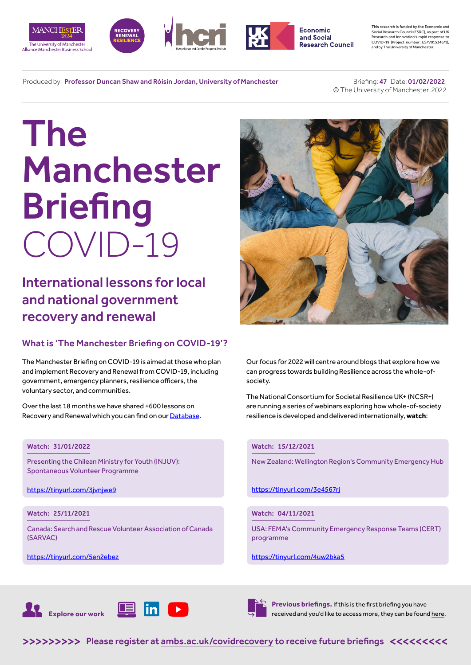







This research is funded by the Economic and Social Research Council (ESRC), as part of UK Research and Innovation's rapid response to COVID-19 (Project number: ES/V015346/1), and by The University of Manchester.

Produced by: Professor Duncan Shaw and Róisín Jordan, University of Manchester

 Briefing: 47 Date: 01/02/2022 © The University of Manchester, 2022

# The Manchester **Briefing** COVID-19

International lessons for local and national government recovery and renewal

## What is 'The Manchester Briefing on COVID-19'?

The Manchester Briefing on COVID-19 is aimed at those who plan and implement Recovery and Renewal from COVID-19, including government, emergency planners, resilience officers, the voluntary sector, and communities.

Over the last 18 months we have shared +600 lessons on Recovery and Renewal which you can find on our [Database](https://recoverydatabase.manchester.ac.uk/lessons/).

## Watch: 31/01/2022

Presenting the Chilean Ministry for Youth (INJUV): Spontaneous Volunteer Programme

<https://tinyurl.com/3jvnjwe9>

## Watch: 25/11/2021

Canada: Search and Rescue Volunteer Association of Canada (SARVAC)

<https://tinyurl.com/5en2ebez>



Our focus for 2022 will centre around blogs that explore how we can progress towards building Resilience across the whole-ofsociety.

The National Consortium for Societal Resilience UK+ (NCSR+) are running a series of webinars exploring how whole-of-society resilience is developed and delivered internationally, **watch**:

### Watch: 15/12/2021

New Zealand: Wellington Region's Community Emergency Hub

<https://tinyurl.com/3e4567rj>

## Watch: 04/11/2021

USA: FEMA's Community Emergency Response Teams (CERT) programme

#### https://tinyurl.com/4uw2bka5





**Previous briefings.** If this is the first briefing you have received and you'd like to access more, they can be found [here](https://www.alliancembs.manchester.ac.uk/research/recovery-renewal-resilience-from-covid-19/).

>>>>>>>>> [Please register at ambs.ac.uk/covidrecovery to receive future briefings](https://www.alliancembs.manchester.ac.uk/research/recovery-renewal-resilience-from-covid-19/) <<<<<<<<<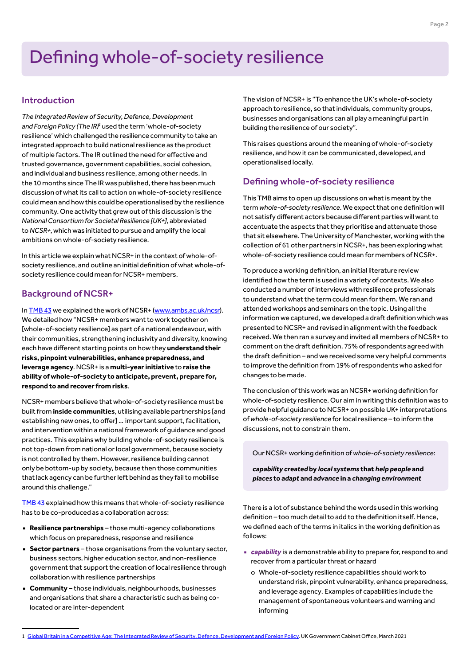## Introduction

*The Integrated Review of Security, Defence, Development*  and Foreign Policy (The IR)<sup>1</sup> used the term 'whole-of-society resilience' which challenged the resilience community to take an integrated approach to build national resilience as the product of multiple factors. The IR outlined the need for effective and trusted governance, government capabilities, social cohesion, and individual and business resilience, among other needs. In the 10 months since The IR was published, there has been much discussion of what its call to action on whole-of-society resilience could mean and how this could be operationalised by the resilience community. One activity that grew out of this discussion is the *National Consortium for Societal Resilience [UK+]*, abbreviated to *NCSR+*, which was initiated to pursue and amplify the local ambitions on whole-of-society resilience.

In this article we explain what NCSR+ in the context of whole-ofsociety resilience, and outline an initial definition of what whole-ofsociety resilience could mean for NCSR+ members.

## Background of NCSR+

In [TMB 43](https://www.alliancembs.manchester.ac.uk/media/ambs/content-assets/documents/news/the-manchester-briefing-on-covid-19-b43-wb-8th-october-2021.pdf) we explained the work of NCSR+ ([www.ambs.ac.uk/ncsr\)](https://www.alliancembs.manchester.ac.uk/research/recovery-renewal-resilience-from-covid-19/national-consortium-for-societal-resilience/). We detailed how "NCSR+ members want to work together on [whole-of-society resilience] as part of a national endeavour, with their communities, strengthening inclusivity and diversity, knowing each have different starting points on how they **understand their risks, pinpoint vulnerabilities, enhance preparedness, and leverage agency**. NCSR+ is a **multi-year initiative** to **raise the ability of whole-of-society to anticipate, prevent, prepare for, respond to and recover from risks**.

NCSR+ members believe that whole-of-society resilience must be built from **inside communities**, utilising available partnerships [and establishing new ones, to offer] … important support, facilitation, and intervention within a national framework of guidance and good practices. This explains why building whole-of-society resilience is not top-down from national or local government, because society is not controlled by them. However, resilience building cannot only be bottom-up by society, because then those communities that lack agency can be further left behind as they fail to mobilise around this challenge."

[TMB 43](https://www.alliancembs.manchester.ac.uk/media/ambs/content-assets/documents/news/the-manchester-briefing-on-covid-19-b43-wb-8th-october-2021.pdf) explained how this means that whole-of-society resilience has to be co-produced as a collaboration across:

- **Resilience partnerships** those multi-agency collaborations which focus on preparedness, response and resilience
- **Sector partners** those organisations from the voluntary sector, business sectors, higher education sector, and non-resilience government that support the creation of local resilience through collaboration with resilience partnerships
- **Community** those individuals, neighbourhoods, businesses and organisations that share a characteristic such as being colocated or are inter-dependent

The vision of NCSR+ is "To enhance the UK's whole-of-society approach to resilience, so that individuals, community groups, businesses and organisations can all play a meaningful part in building the resilience of our society".

This raises questions around the meaning of whole-of-society resilience, and how it can be communicated, developed, and operationalised locally.

## Defining whole-of-society resilience

This TMB aims to open up discussions on what is meant by the term *whole-of-society resilience*. We expect that one definition will not satisfy different actors because different parties will want to accentuate the aspects that they prioritise and attenuate those that sit elsewhere. The University of Manchester, working with the collection of 61 other partners in NCSR+, has been exploring what whole-of-society resilience could mean for members of NCSR+.

To produce a working definition, an initial literature review identified how the term is used in a variety of contexts. We also conducted a number of interviews with resilience professionals to understand what the term could mean for them. We ran and attended workshops and seminars on the topic. Using all the information we captured, we developed a draft definition which was presented to NCSR+ and revised in alignment with the feedback received. We then ran a survey and invited all members of NCSR+ to comment on the draft definition. 75% of respondents agreed with the draft definition – and we received some very helpful comments to improve the definition from 19% of respondents who asked for changes to be made.

The conclusion of this work was an NCSR+ working definition for whole-of-society resilience. Our aim in writing this definition was to provide helpful guidance to NCSR+ on possible UK+ interpretations of *whole-of-society resilience* for local resilience – to inform the discussions, not to constrain them.

Our NCSR+ working definition of *whole-of-society resilience*:

*capability created* **by** *local systems* **that** *help people* **and** *places* **to** *adapt* **and** *advance* **in a** *changing environment*

There is a lot of substance behind the words used in this working definition – too much detail to add to the definition itself. Hence, we defined each of the terms in italics in the working definition as follows:

- *capability* is a demonstrable ability to prepare for, respond to and recover from a particular threat or hazard
	- o Whole-of-society resilience capabilities should work to understand risk, pinpoint vulnerability, enhance preparedness, and leverage agency. Examples of capabilities include the management of spontaneous volunteers and warning and informing

<sup>1</sup> [Global Britain in a Competitive Age: The Integrated Review of Security, Defence, Development and Foreign Policy.](https://assets.publishing.service.gov.uk/government/uploads/system/uploads/attachment_data/file/975077/Global_Britain_in_a_Competitive_Age-_the_Integrated_Review_of_Security__Defence__Development_and_Foreign_Policy.pdf) UK Government Cabinet Office, March 2021